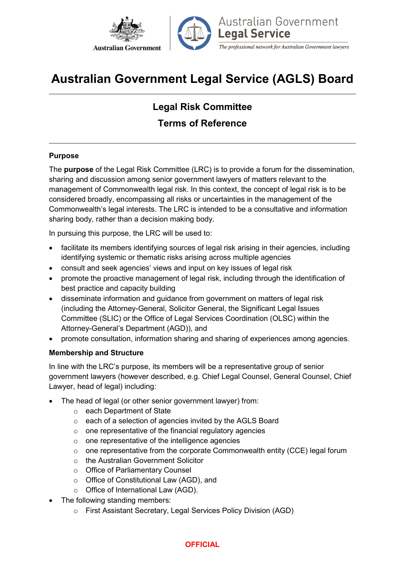



Australian Government **Legal Service** 

The professional network for Australian Government lawyers

# Australian Government Legal Service (AGLS) Board

# Legal Risk Committee Terms of Reference

# Purpose

The purpose of the Legal Risk Committee (LRC) is to provide a forum for the dissemination, sharing and discussion among senior government lawyers of matters relevant to the management of Commonwealth legal risk. In this context, the concept of legal risk is to be considered broadly, encompassing all risks or uncertainties in the management of the Commonwealth's legal interests. The LRC is intended to be a consultative and information sharing body, rather than a decision making body.

In pursuing this purpose, the LRC will be used to:

- facilitate its members identifying sources of legal risk arising in their agencies, including identifying systemic or thematic risks arising across multiple agencies
- consult and seek agencies' views and input on key issues of legal risk
- promote the proactive management of legal risk, including through the identification of best practice and capacity building
- disseminate information and guidance from government on matters of legal risk (including the Attorney-General, Solicitor General, the Significant Legal Issues Committee (SLIC) or the Office of Legal Services Coordination (OLSC) within the Attorney-General's Department (AGD)), and
- promote consultation, information sharing and sharing of experiences among agencies.

# Membership and Structure

In line with the LRC's purpose, its members will be a representative group of senior government lawyers (however described, e.g. Chief Legal Counsel, General Counsel, Chief Lawyer, head of legal) including:

- The head of legal (or other senior government lawyer) from:
	- o each Department of State
	- o each of a selection of agencies invited by the AGLS Board
	- o one representative of the financial regulatory agencies
	- o one representative of the intelligence agencies
	- $\circ$  one representative from the corporate Commonwealth entity (CCE) legal forum
	- o the Australian Government Solicitor
	- o Office of Parliamentary Counsel
	- o Office of Constitutional Law (AGD), and
	- o Office of International Law (AGD).
- The following standing members:
	- o First Assistant Secretary, Legal Services Policy Division (AGD)

#### **OFFICIAL**